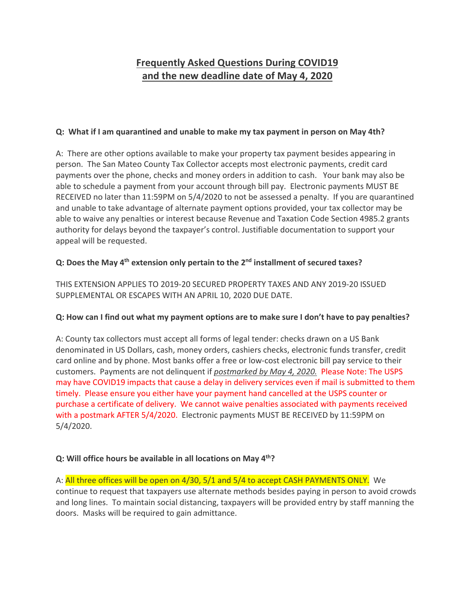# **Frequently Asked Questions During COVID19 and the new deadline date of May 4, 2020**

#### **Q: What if I am quarantined and unable to make my tax payment in person on May 4th?**

A: There are other options available to make your property tax payment besides appearing in person. The San Mateo County Tax Collector accepts most electronic payments, credit card payments over the phone, checks and money orders in addition to cash. Your bank may also be able to schedule a payment from your account through bill pay. Electronic payments MUST BE RECEIVED no later than 11:59PM on 5/4/2020 to not be assessed a penalty. If you are quarantined and unable to take advantage of alternate payment options provided, your tax collector may be able to waive any penalties or interest because Revenue and Taxation Code Section 4985.2 grants authority for delays beyond the taxpayer's control. Justifiable documentation to support your appeal will be requested.

## **Q: Does the May 4th extension only pertain to the 2nd installment of secured taxes?**

THIS EXTENSION APPLIES TO 2019‐20 SECURED PROPERTY TAXES AND ANY 2019‐20 ISSUED SUPPLEMENTAL OR ESCAPES WITH AN APRIL 10, 2020 DUE DATE.

#### **Q: How can I find out what my payment options are to make sure I don't have to pay penalties?**

A: County tax collectors must accept all forms of legal tender: checks drawn on a US Bank denominated in US Dollars, cash, money orders, cashiers checks, electronic funds transfer, credit card online and by phone. Most banks offer a free or low‐cost electronic bill pay service to their customers. Payments are not delinquent if *postmarked by May 4, 2020.* Please Note: The USPS may have COVID19 impacts that cause a delay in delivery services even if mail is submitted to them timely. Please ensure you either have your payment hand cancelled at the USPS counter or purchase a certificate of delivery. We cannot waive penalties associated with payments received with a postmark AFTER 5/4/2020. Electronic payments MUST BE RECEIVED by 11:59PM on 5/4/2020.

#### **Q: Will office hours be available in all locations on May 4th?**

A: All three offices will be open on 4/30, 5/1 and 5/4 to accept CASH PAYMENTS ONLY. We continue to request that taxpayers use alternate methods besides paying in person to avoid crowds and long lines. To maintain social distancing, taxpayers will be provided entry by staff manning the doors. Masks will be required to gain admittance.